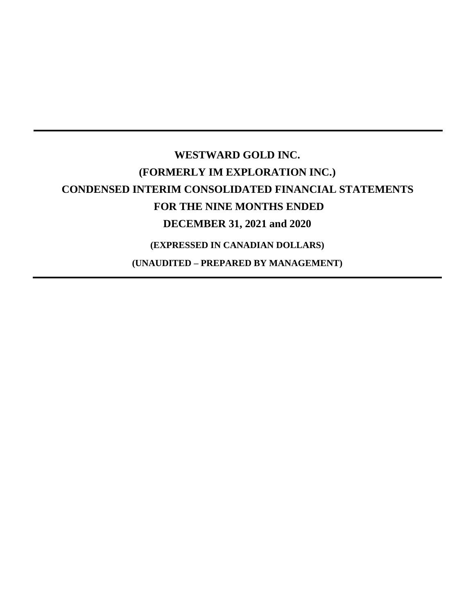# **WESTWARD GOLD INC. (FORMERLY IM EXPLORATION INC.) CONDENSED INTERIM CONSOLIDATED FINANCIAL STATEMENTS FOR THE NINE MONTHS ENDED DECEMBER 31, 2021 and 2020 (EXPRESSED IN CANADIAN DOLLARS)**

**(UNAUDITED – PREPARED BY MANAGEMENT)**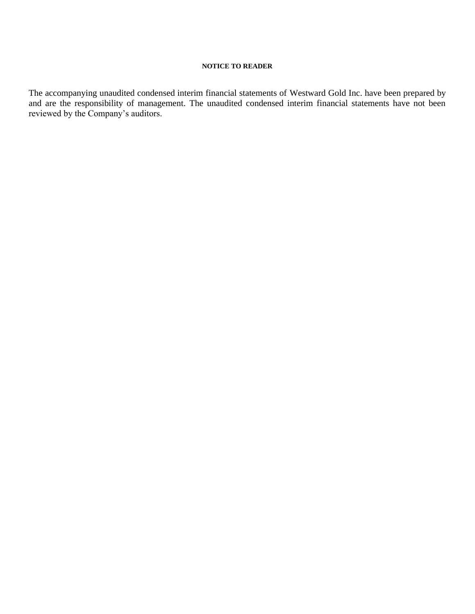# **NOTICE TO READER**

The accompanying unaudited condensed interim financial statements of Westward Gold Inc. have been prepared by and are the responsibility of management. The unaudited condensed interim financial statements have not been reviewed by the Company's auditors.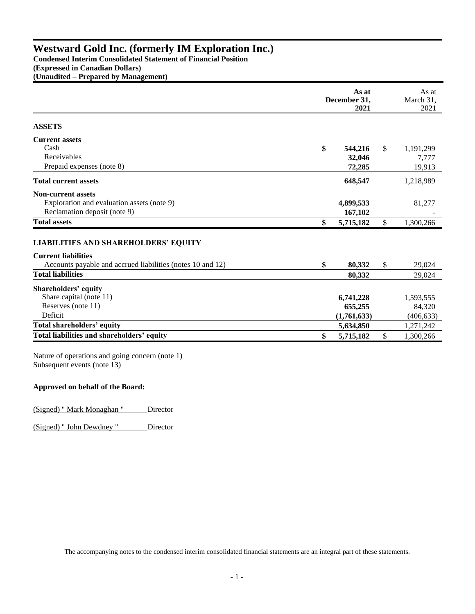**Condensed Interim Consolidated Statement of Financial Position**

**(Expressed in Canadian Dollars)**

**(Unaudited – Prepared by Management)**

|                                                            | As at<br>December 31,<br>2021 |              | As at<br>March 31,<br>2021 |
|------------------------------------------------------------|-------------------------------|--------------|----------------------------|
| <b>ASSETS</b>                                              |                               |              |                            |
| <b>Current assets</b>                                      |                               |              |                            |
| Cash                                                       | \$<br>544,216                 | \$           | 1,191,299                  |
| Receivables                                                | 32,046                        |              | 7,777                      |
| Prepaid expenses (note 8)                                  | 72,285                        |              | 19,913                     |
| <b>Total current assets</b>                                | 648,547                       |              | 1,218,989                  |
| <b>Non-current assets</b>                                  |                               |              |                            |
| Exploration and evaluation assets (note 9)                 | 4,899,533                     |              | 81,277                     |
| Reclamation deposit (note 9)                               | 167,102                       |              |                            |
| <b>Total assets</b>                                        | \$<br>5,715,182               | $\mathbb{S}$ | 1,300,266                  |
| <b>LIABILITIES AND SHAREHOLDERS' EQUITY</b>                |                               |              |                            |
| <b>Current liabilities</b>                                 |                               |              |                            |
| Accounts payable and accrued liabilities (notes 10 and 12) | \$<br>80,332                  | \$           | 29,024                     |
| <b>Total liabilities</b>                                   | 80.332                        |              | 29,024                     |
| Shareholders' equity                                       |                               |              |                            |
| Share capital (note 11)                                    | 6,741,228                     |              | 1,593,555                  |
| Reserves (note 11)                                         | 655,255                       |              | 84,320                     |
| Deficit                                                    | (1,761,633)                   |              | (406, 633)                 |
| Total shareholders' equity                                 | 5,634,850                     |              | 1,271,242                  |
| Total liabilities and shareholders' equity                 | \$<br>5,715,182               | $\mathbb{S}$ | 1,300,266                  |

Nature of operations and going concern (note 1) Subsequent events (note 13)

# **Approved on behalf of the Board:**

(Signed) " Mark Monaghan " Director

(Signed) " John Dewdney " Director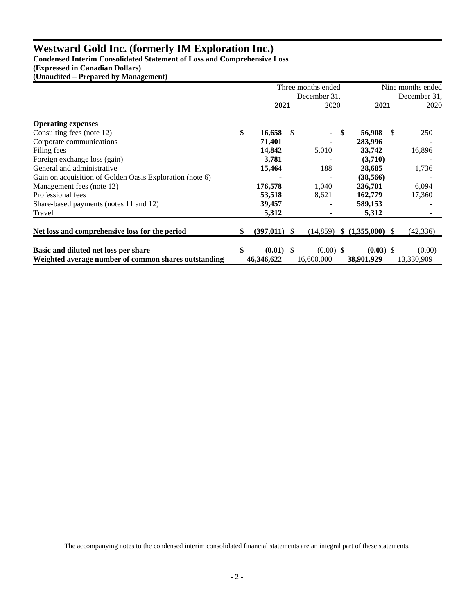**Condensed Interim Consolidated Statement of Loss and Comprehensive Loss** 

**(Expressed in Canadian Dollars)**

**(Unaudited – Prepared by Management)**

|                                                          | Three months ended   |     |                          |              | Nine months ended  |    |            |
|----------------------------------------------------------|----------------------|-----|--------------------------|--------------|--------------------|----|------------|
|                                                          | December 31.         |     |                          | December 31, |                    |    |            |
|                                                          | 2021                 |     | 2020                     |              | 2021               |    | 2020       |
| <b>Operating expenses</b>                                |                      |     |                          |              |                    |    |            |
| Consulting fees (note 12)                                | \$<br>16,658         | \$. | $\overline{\phantom{0}}$ | \$           | 56,908             | -S | 250        |
| Corporate communications                                 | 71,401               |     |                          |              | 283,996            |    |            |
| Filing fees                                              | 14,842               |     | 5,010                    |              | 33,742             |    | 16,896     |
| Foreign exchange loss (gain)                             | 3,781                |     |                          |              | (3,710)            |    |            |
| General and administrative                               | 15,464               |     | 188                      |              | 28,685             |    | 1,736      |
| Gain on acquisition of Golden Oasis Exploration (note 6) |                      |     |                          |              | (38, 566)          |    |            |
| Management fees (note 12)                                | 176,578              |     | 1,040                    |              | 236,701            |    | 6,094      |
| Professional fees                                        | 53,518               |     | 8,621                    |              | 162,779            |    | 17,360     |
| Share-based payments (notes 11 and 12)                   | 39,457               |     |                          |              | 589,153            |    |            |
| Travel                                                   | 5,312                |     | $\overline{\phantom{0}}$ |              | 5,312              |    |            |
| Net loss and comprehensive loss for the period           | \$<br>$(397,011)$ \$ |     | (14, 859)                |              | $$(1,355,000)$ \\$ |    | (42, 336)  |
| Basic and diluted net loss per share                     | \$<br>$(0.01)$ \$    |     | $(0.00)$ \$              |              | $(0.03)$ \$        |    | (0.00)     |
| Weighted average number of common shares outstanding     | 46,346,622           |     | 16,600,000               |              | 38,901,929         |    | 13,330,909 |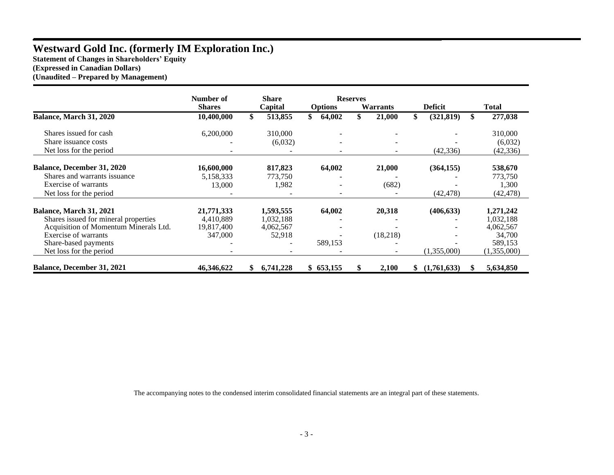**Statement of Changes in Shareholders' Equity (Expressed in Canadian Dollars)**

**(Unaudited – Prepared by Management)**

|                                       | Number of     | Share   |           |                          | <b>Reserves</b> |                 |     |                |     |              |
|---------------------------------------|---------------|---------|-----------|--------------------------|-----------------|-----------------|-----|----------------|-----|--------------|
|                                       | <b>Shares</b> | Capital |           | <b>Options</b>           |                 | <b>Warrants</b> |     | <b>Deficit</b> |     | <b>Total</b> |
| Balance, March 31, 2020               | 10,400,000    |         | 513,855   | \$<br>64,002             | \$              | 21,000          | \$  | (321, 819)     | \$. | 277,038      |
| Shares issued for cash                | 6,200,000     |         | 310,000   |                          |                 |                 |     |                |     | 310,000      |
| Share issuance costs                  |               |         | (6,032)   | ۰                        |                 |                 |     |                |     | (6,032)      |
| Net loss for the period               |               |         |           | $\overline{\phantom{a}}$ |                 |                 |     | (42, 336)      |     | (42, 336)    |
| Balance, December 31, 2020            | 16,600,000    |         | 817,823   | 64,002                   |                 | 21,000          |     | (364, 155)     |     | 538,670      |
| Shares and warrants issuance          | 5,158,333     |         | 773,750   |                          |                 |                 |     |                |     | 773,750      |
| Exercise of warrants                  | 13,000        |         | 1,982     |                          |                 | (682)           |     |                |     | 1,300        |
| Net loss for the period               |               |         |           |                          |                 |                 |     | (42, 478)      |     | (42, 478)    |
| Balance, March 31, 2021               | 21,771,333    |         | 1,593,555 | 64,002                   |                 | 20,318          |     | (406, 633)     |     | 1,271,242    |
| Shares issued for mineral properties  | 4,410,889     |         | 1,032,188 |                          |                 |                 |     |                |     | 1,032,188    |
| Acquisition of Momentum Minerals Ltd. | 19,817,400    |         | 4,062,567 |                          |                 |                 |     |                |     | 4,062,567    |
| Exercise of warrants                  | 347,000       |         | 52,918    |                          |                 | (18,218)        |     |                |     | 34,700       |
| Share-based payments                  |               |         |           | 589,153                  |                 |                 |     |                |     | 589,153      |
| Net loss for the period               |               |         |           |                          |                 |                 |     | (1,355,000)    |     | (1,355,000)  |
| <b>Balance, December 31, 2021</b>     | 46,346,622    |         | 6.741.228 | \$653,155                |                 | 2.100           | SS. | (1,761,633)    |     | 5,634,850    |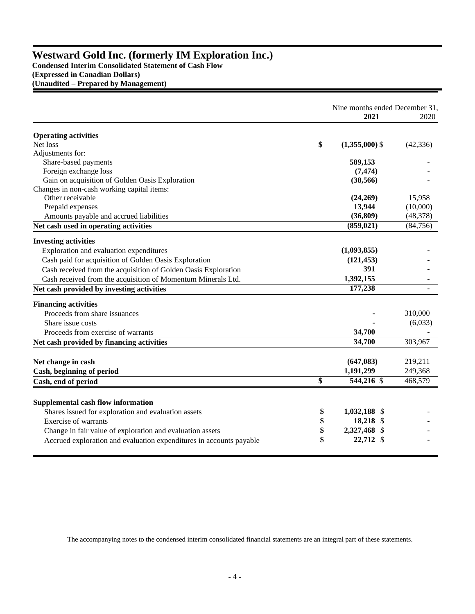**Condensed Interim Consolidated Statement of Cash Flow (Expressed in Canadian Dollars) (Unaudited – Prepared by Management)**

|                                                                     | 2021                                         | Nine months ended December 31,<br>2020 |
|---------------------------------------------------------------------|----------------------------------------------|----------------------------------------|
| <b>Operating activities</b>                                         |                                              |                                        |
| Net loss<br>\$                                                      | $(1,355,000)$ \$                             | (42, 336)                              |
| Adjustments for:                                                    |                                              |                                        |
| Share-based payments                                                | 589,153                                      |                                        |
| Foreign exchange loss                                               | (7, 474)                                     |                                        |
| Gain on acquisition of Golden Oasis Exploration                     | (38, 566)                                    |                                        |
| Changes in non-cash working capital items:                          |                                              |                                        |
| Other receivable                                                    | (24,269)                                     | 15,958                                 |
| Prepaid expenses                                                    | 13,944                                       | (10,000)                               |
| Amounts payable and accrued liabilities                             | (36, 809)                                    | (48, 378)                              |
| Net cash used in operating activities                               | (859, 021)                                   | (84, 756)                              |
| <b>Investing activities</b>                                         |                                              |                                        |
| Exploration and evaluation expenditures                             | (1,093,855)                                  |                                        |
| Cash paid for acquisition of Golden Oasis Exploration               | (121, 453)                                   |                                        |
| Cash received from the acquisition of Golden Oasis Exploration      | 391                                          |                                        |
| Cash received from the acquisition of Momentum Minerals Ltd.        | 1,392,155                                    |                                        |
| Net cash provided by investing activities                           | 177,238                                      |                                        |
| <b>Financing activities</b>                                         |                                              |                                        |
| Proceeds from share issuances                                       |                                              | 310,000                                |
| Share issue costs                                                   |                                              | (6,033)                                |
| Proceeds from exercise of warrants                                  | 34,700                                       |                                        |
| Net cash provided by financing activities                           | 34,700                                       | 303,967                                |
|                                                                     |                                              |                                        |
| Net change in cash                                                  | (647, 083)                                   | 219,211                                |
| Cash, beginning of period                                           | 1,191,299                                    | 249,368                                |
| \$<br>Cash, end of period                                           | $544,216$ \$                                 | 468,579                                |
| Supplemental cash flow information                                  |                                              |                                        |
| Shares issued for exploration and evaluation assets                 | 1,032,188 \$<br>\$                           |                                        |
| <b>Exercise of warrants</b>                                         | \$<br>18,218<br>-S                           |                                        |
| Change in fair value of exploration and evaluation assets           | \$<br>2,327,468<br>$\boldsymbol{\mathsf{S}}$ |                                        |
| Accrued exploration and evaluation expenditures in accounts payable | \$<br>22,712 \$                              |                                        |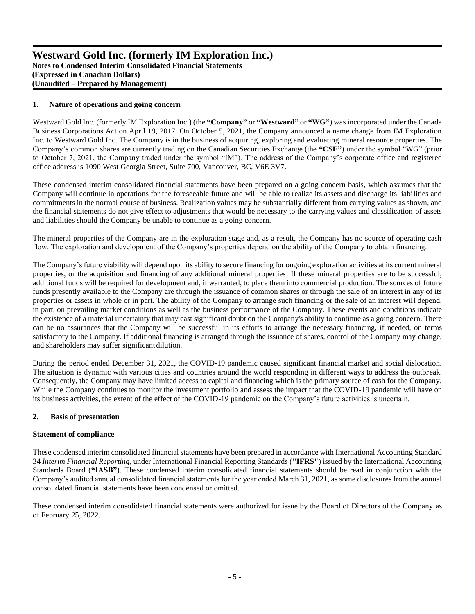# **1. Nature of operations and going concern**

Westward Gold Inc. (formerly IM Exploration Inc.) (the **"Company"** or **"Westward"** or **"WG"**) was incorporated under the Canada Business Corporations Act on April 19, 2017. On October 5, 2021, the Company announced a name change from IM Exploration Inc. to Westward Gold Inc. The Company is in the business of acquiring, exploring and evaluating mineral resource properties. The Company's common shares are currently trading on the Canadian Securities Exchange (the **"CSE"**) under the symbol "WG" (prior to October 7, 2021, the Company traded under the symbol "IM"). The address of the Company's corporate office and registered office address is 1090 West Georgia Street, Suite 700, Vancouver, BC, V6E 3V7.

These condensed interim consolidated financial statements have been prepared on a going concern basis, which assumes that the Company will continue in operations for the foreseeable future and will be able to realize its assets and discharge its liabilities and commitments in the normal course of business. Realization values may be substantially different from carrying values as shown, and the financial statements do not give effect to adjustments that would be necessary to the carrying values and classification of assets and liabilities should the Company be unable to continue as a going concern.

The mineral properties of the Company are in the exploration stage and, as a result, the Company has no source of operating cash flow. The exploration and development of the Company's properties depend on the ability of the Company to obtain financing.

The Company's future viability will depend upon its ability to secure financing for ongoing exploration activities at its current mineral properties, or the acquisition and financing of any additional mineral properties. If these mineral properties are to be successful, additional funds will be required for development and, if warranted, to place them into commercial production. The sources of future funds presently available to the Company are through the issuance of common shares or through the sale of an interest in any of its properties or assets in whole or in part. The ability of the Company to arrange such financing or the sale of an interest will depend, in part, on prevailing market conditions as well as the business performance of the Company. These events and conditions indicate the existence of a material uncertainty that may cast significant doubt on the Company's ability to continue as a going concern. There can be no assurances that the Company will be successful in its efforts to arrange the necessary financing, if needed, on terms satisfactory to the Company. If additional financing is arranged through the issuance of shares, control of the Company may change, and shareholders may suffer significant dilution.

During the period ended December 31, 2021, the COVID-19 pandemic caused significant financial market and social dislocation. The situation is dynamic with various cities and countries around the world responding in different ways to address the outbreak. Consequently, the Company may have limited access to capital and financing which is the primary source of cash for the Company. While the Company continues to monitor the investment portfolio and assess the impact that the COVID-19 pandemic will have on its business activities, the extent of the effect of the COVID-19 pandemic on the Company's future activities is uncertain.

#### **2. Basis of presentation**

#### **Statement of compliance**

These condensed interim consolidated financial statements have been prepared in accordance with International Accounting Standard 34 *Interim Financial Reporting*, under International Financial Reporting Standards (**"IFRS"**) issued by the International Accounting Standards Board (**"IASB"**). These condensed interim consolidated financial statements should be read in conjunction with the Company's audited annual consolidated financial statements for the year ended March 31, 2021, as some disclosures from the annual consolidated financial statements have been condensed or omitted.

These condensed interim consolidated financial statements were authorized for issue by the Board of Directors of the Company as of February 25, 2022.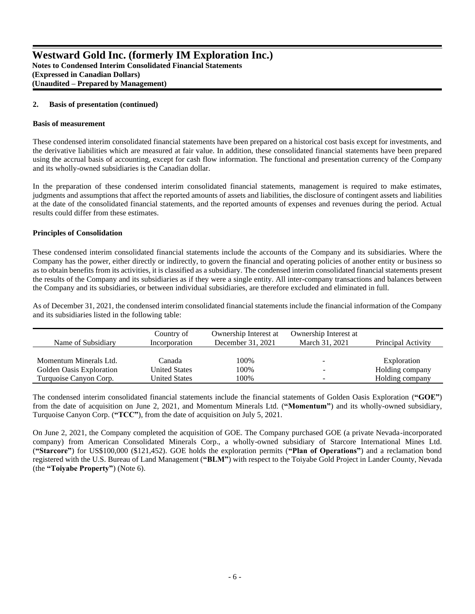### **2. Basis of presentation (continued)**

#### **Basis of measurement**

These condensed interim consolidated financial statements have been prepared on a historical cost basis except for investments, and the derivative liabilities which are measured at fair value. In addition, these consolidated financial statements have been prepared using the accrual basis of accounting, except for cash flow information. The functional and presentation currency of the Company and its wholly-owned subsidiaries is the Canadian dollar.

In the preparation of these condensed interim consolidated financial statements, management is required to make estimates, judgments and assumptions that affect the reported amounts of assets and liabilities, the disclosure of contingent assets and liabilities at the date of the consolidated financial statements, and the reported amounts of expenses and revenues during the period. Actual results could differ from these estimates.

#### **Principles of Consolidation**

These condensed interim consolidated financial statements include the accounts of the Company and its subsidiaries. Where the Company has the power, either directly or indirectly, to govern the financial and operating policies of another entity or business so as to obtain benefits from its activities, it is classified as a subsidiary. The condensed interim consolidated financial statements present the results of the Company and its subsidiaries as if they were a single entity. All inter-company transactions and balances between the Company and its subsidiaries, or between individual subsidiaries, are therefore excluded and eliminated in full.

As of December 31, 2021, the condensed interim consolidated financial statements include the financial information of the Company and its subsidiaries listed in the following table:

| Name of Subsidiary       | Country of<br>Incorporation | Ownership Interest at<br>December 31, 2021 | Ownership Interest at<br>March 31, 2021 | Principal Activity |
|--------------------------|-----------------------------|--------------------------------------------|-----------------------------------------|--------------------|
| Momentum Minerals Ltd.   | Canada                      | 100%                                       |                                         | Exploration        |
| Golden Oasis Exploration | <b>United States</b>        | 100%                                       |                                         | Holding company    |
| Turquoise Canyon Corp.   | <b>United States</b>        | 100%                                       |                                         | Holding company    |

The condensed interim consolidated financial statements include the financial statements of Golden Oasis Exploration (**"GOE"**) from the date of acquisition on June 2, 2021, and Momentum Minerals Ltd. (**"Momentum"**) and its wholly-owned subsidiary, Turquoise Canyon Corp. (**"TCC"**), from the date of acquisition on July 5, 2021.

On June 2, 2021, the Company completed the acquisition of GOE. The Company purchased GOE (a private Nevada-incorporated company) from American Consolidated Minerals Corp., a wholly-owned subsidiary of Starcore International Mines Ltd. (**"Starcore"**) for US\$100,000 (\$121,452). GOE holds the exploration permits (**"Plan of Operations"**) and a reclamation bond registered with the U.S. Bureau of Land Management (**"BLM"**) with respect to the Toiyabe Gold Project in Lander County, Nevada (the **"Toiyabe Property"**) (Note 6).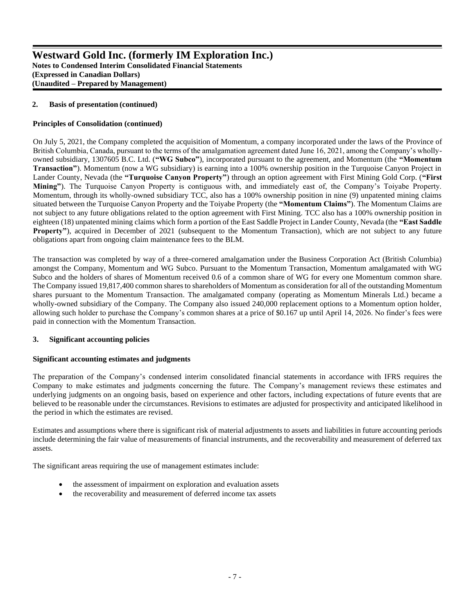# **2. Basis of presentation (continued)**

# **Principles of Consolidation (continued)**

On July 5, 2021, the Company completed the acquisition of Momentum, a company incorporated under the laws of the Province of British Columbia, Canada, pursuant to the terms of the amalgamation agreement dated June 16, 2021, among the Company's whollyowned subsidiary, 1307605 B.C. Ltd. (**"WG Subco"**), incorporated pursuant to the agreement, and Momentum (the **"Momentum Transaction"**). Momentum (now a WG subsidiary) is earning into a 100% ownership position in the Turquoise Canyon Project in Lander County, Nevada (the **"Turquoise Canyon Property"**) through an option agreement with First Mining Gold Corp. (**"First Mining"**). The Turquoise Canyon Property is contiguous with, and immediately east of, the Company's Toiyabe Property. Momentum, through its wholly-owned subsidiary TCC, also has a 100% ownership position in nine (9) unpatented mining claims situated between the Turquoise Canyon Property and the Toiyabe Property (the **"Momentum Claims"**). The Momentum Claims are not subject to any future obligations related to the option agreement with First Mining. TCC also has a 100% ownership position in eighteen (18) unpatented mining claims which form a portion of the East Saddle Project in Lander County, Nevada (the **"East Saddle Property"**), acquired in December of 2021 (subsequent to the Momentum Transaction), which are not subject to any future obligations apart from ongoing claim maintenance fees to the BLM.

The transaction was completed by way of a three-cornered amalgamation under the Business Corporation Act (British Columbia) amongst the Company, Momentum and WG Subco. Pursuant to the Momentum Transaction, Momentum amalgamated with WG Subco and the holders of shares of Momentum received 0.6 of a common share of WG for every one Momentum common share. The Company issued 19,817,400 common shares to shareholders of Momentum as consideration for all of the outstanding Momentum shares pursuant to the Momentum Transaction. The amalgamated company (operating as Momentum Minerals Ltd.) became a wholly-owned subsidiary of the Company. The Company also issued 240,000 replacement options to a Momentum option holder, allowing such holder to purchase the Company's common shares at a price of \$0.167 up until April 14, 2026. No finder's fees were paid in connection with the Momentum Transaction.

# **3. Significant accounting policies**

# **Significant accounting estimates and judgments**

The preparation of the Company's condensed interim consolidated financial statements in accordance with IFRS requires the Company to make estimates and judgments concerning the future. The Company's management reviews these estimates and underlying judgments on an ongoing basis, based on experience and other factors, including expectations of future events that are believed to be reasonable under the circumstances. Revisions to estimates are adjusted for prospectivity and anticipated likelihood in the period in which the estimates are revised.

Estimates and assumptions where there is significant risk of material adjustments to assets and liabilities in future accounting periods include determining the fair value of measurements of financial instruments, and the recoverability and measurement of deferred tax assets.

The significant areas requiring the use of management estimates include:

- the assessment of impairment on exploration and evaluation assets
- the recoverability and measurement of deferred income tax assets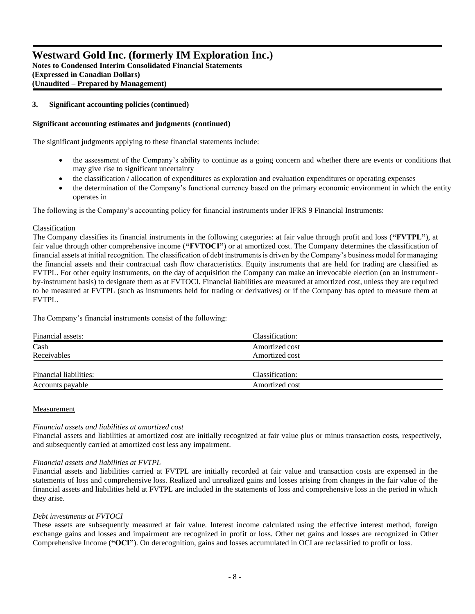**Notes to Condensed Interim Consolidated Financial Statements (Expressed in Canadian Dollars) (Unaudited – Prepared by Management)**

# **3. Significant accounting policies(continued)**

# **Significant accounting estimates and judgments (continued)**

The significant judgments applying to these financial statements include:

- the assessment of the Company's ability to continue as a going concern and whether there are events or conditions that may give rise to significant uncertainty
- the classification / allocation of expenditures as exploration and evaluation expenditures or operating expenses
- the determination of the Company's functional currency based on the primary economic environment in which the entity operates in

The following is the Company's accounting policy for financial instruments under IFRS 9 Financial Instruments:

# Classification

The Company classifies its financial instruments in the following categories: at fair value through profit and loss (**"FVTPL"**), at fair value through other comprehensive income (**"FVTOCI"**) or at amortized cost. The Company determines the classification of financial assets at initial recognition. The classification of debt instruments is driven by the Company's business model for managing the financial assets and their contractual cash flow characteristics. Equity instruments that are held for trading are classified as FVTPL. For other equity instruments, on the day of acquisition the Company can make an irrevocable election (on an instrumentby-instrument basis) to designate them as at FVTOCI. Financial liabilities are measured at amortized cost, unless they are required to be measured at FVTPL (such as instruments held for trading or derivatives) or if the Company has opted to measure them at FVTPL.

The Company's financial instruments consist of the following:

| Financial assets:      | Classification: |  |
|------------------------|-----------------|--|
| Cash                   | Amortized cost  |  |
| Receivables            | Amortized cost  |  |
|                        |                 |  |
| Financial liabilities: | Classification: |  |
| Accounts payable       | Amortized cost  |  |

# **Measurement**

# *Financial assets and liabilities at amortized cost*

Financial assets and liabilities at amortized cost are initially recognized at fair value plus or minus transaction costs, respectively, and subsequently carried at amortized cost less any impairment.

# *Financial assets and liabilities at FVTPL*

Financial assets and liabilities carried at FVTPL are initially recorded at fair value and transaction costs are expensed in the statements of loss and comprehensive loss. Realized and unrealized gains and losses arising from changes in the fair value of the financial assets and liabilities held at FVTPL are included in the statements of loss and comprehensive loss in the period in which they arise.

# *Debt investments at FVTOCI*

These assets are subsequently measured at fair value. Interest income calculated using the effective interest method, foreign exchange gains and losses and impairment are recognized in profit or loss. Other net gains and losses are recognized in Other Comprehensive Income (**"OCI"**). On derecognition, gains and losses accumulated in OCI are reclassified to profit or loss.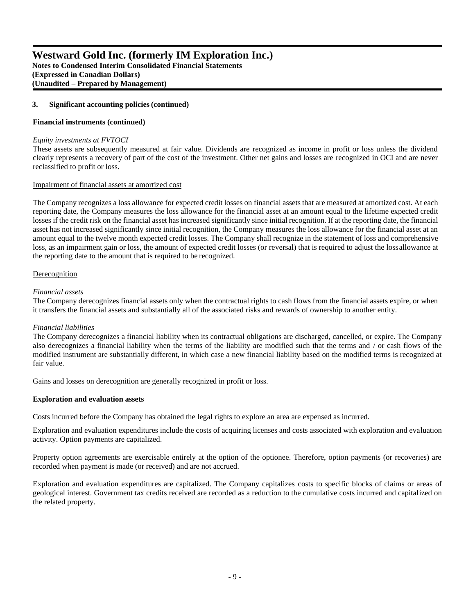**Notes to Condensed Interim Consolidated Financial Statements (Expressed in Canadian Dollars) (Unaudited – Prepared by Management)**

# **3. Significant accounting policies(continued)**

# **Financial instruments (continued)**

### *Equity investments at FVTOCI*

These assets are subsequently measured at fair value. Dividends are recognized as income in profit or loss unless the dividend clearly represents a recovery of part of the cost of the investment. Other net gains and losses are recognized in OCI and are never reclassified to profit or loss.

# Impairment of financial assets at amortized cost

The Company recognizes a loss allowance for expected credit losses on financial assets that are measured at amortized cost. At each reporting date, the Company measures the loss allowance for the financial asset at an amount equal to the lifetime expected credit losses if the credit risk on the financial asset has increased significantly since initial recognition. If at the reporting date, the financial asset has not increased significantly since initial recognition, the Company measures the loss allowance for the financial asset at an amount equal to the twelve month expected credit losses. The Company shall recognize in the statement of loss and comprehensive loss, as an impairment gain or loss, the amount of expected credit losses (or reversal) that is required to adjust the lossallowance at the reporting date to the amount that is required to be recognized.

# Derecognition

# *Financial assets*

The Company derecognizes financial assets only when the contractual rights to cash flows from the financial assets expire, or when it transfers the financial assets and substantially all of the associated risks and rewards of ownership to another entity.

# *Financial liabilities*

The Company derecognizes a financial liability when its contractual obligations are discharged, cancelled, or expire. The Company also derecognizes a financial liability when the terms of the liability are modified such that the terms and / or cash flows of the modified instrument are substantially different, in which case a new financial liability based on the modified terms is recognized at fair value.

Gains and losses on derecognition are generally recognized in profit or loss.

# **Exploration and evaluation assets**

Costs incurred before the Company has obtained the legal rights to explore an area are expensed as incurred.

Exploration and evaluation expenditures include the costs of acquiring licenses and costs associated with exploration and evaluation activity. Option payments are capitalized.

Property option agreements are exercisable entirely at the option of the optionee. Therefore, option payments (or recoveries) are recorded when payment is made (or received) and are not accrued.

Exploration and evaluation expenditures are capitalized. The Company capitalizes costs to specific blocks of claims or areas of geological interest. Government tax credits received are recorded as a reduction to the cumulative costs incurred and capitalized on the related property.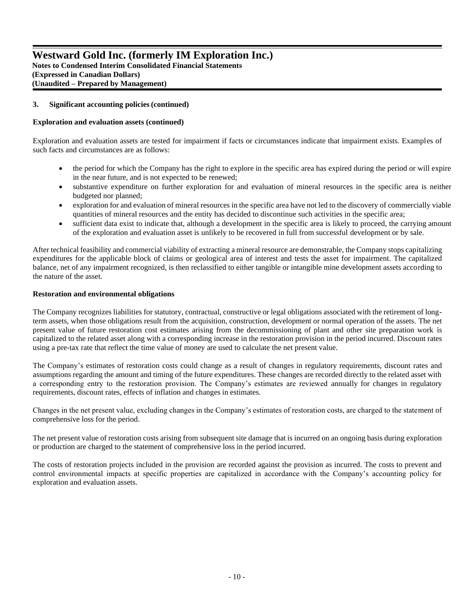**Notes to Condensed Interim Consolidated Financial Statements (Expressed in Canadian Dollars) (Unaudited – Prepared by Management)**

# **3. Significant accounting policies(continued)**

# **Exploration and evaluation assets (continued)**

Exploration and evaluation assets are tested for impairment if facts or circumstances indicate that impairment exists. Examples of such facts and circumstances are as follows:

- the period for which the Company has the right to explore in the specific area has expired during the period or will expire in the near future, and is not expected to be renewed;
- substantive expenditure on further exploration for and evaluation of mineral resources in the specific area is neither budgeted nor planned;
- exploration for and evaluation of mineral resources in the specific area have not led to the discovery of commercially viable quantities of mineral resources and the entity has decided to discontinue such activities in the specific area;
- sufficient data exist to indicate that, although a development in the specific area is likely to proceed, the carrying amount of the exploration and evaluation asset is unlikely to be recovered in full from successful development or by sale.

After technical feasibility and commercial viability of extracting a mineral resource are demonstrable, the Company stops capitalizing expenditures for the applicable block of claims or geological area of interest and tests the asset for impairment. The capitalized balance, net of any impairment recognized, is then reclassified to either tangible or intangible mine development assets according to the nature of the asset.

# **Restoration and environmental obligations**

The Company recognizes liabilities for statutory, contractual, constructive or legal obligations associated with the retirement of longterm assets, when those obligations result from the acquisition, construction, development or normal operation of the assets. The net present value of future restoration cost estimates arising from the decommissioning of plant and other site preparation work is capitalized to the related asset along with a corresponding increase in the restoration provision in the period incurred. Discount rates using a pre-tax rate that reflect the time value of money are used to calculate the net present value.

The Company's estimates of restoration costs could change as a result of changes in regulatory requirements, discount rates and assumptions regarding the amount and timing of the future expenditures. These changes are recorded directly to the related asset with a corresponding entry to the restoration provision. The Company's estimates are reviewed annually for changes in regulatory requirements, discount rates, effects of inflation and changes in estimates.

Changes in the net present value, excluding changes in the Company's estimates of restoration costs, are charged to the statement of comprehensive loss for the period.

The net present value of restoration costs arising from subsequent site damage that is incurred on an ongoing basis during exploration or production are charged to the statement of comprehensive loss in the period incurred.

The costs of restoration projects included in the provision are recorded against the provision as incurred. The costs to prevent and control environmental impacts at specific properties are capitalized in accordance with the Company's accounting policy for exploration and evaluation assets.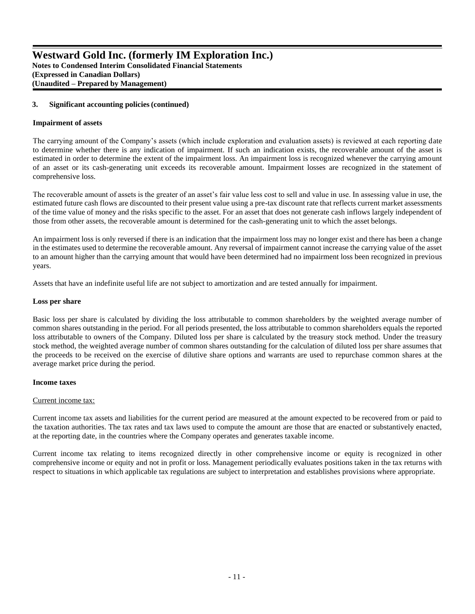# **3. Significant accounting policies(continued)**

#### **Impairment of assets**

The carrying amount of the Company's assets (which include exploration and evaluation assets) is reviewed at each reporting date to determine whether there is any indication of impairment. If such an indication exists, the recoverable amount of the asset is estimated in order to determine the extent of the impairment loss. An impairment loss is recognized whenever the carrying amount of an asset or its cash-generating unit exceeds its recoverable amount. Impairment losses are recognized in the statement of comprehensive loss.

The recoverable amount of assets is the greater of an asset's fair value less cost to sell and value in use. In assessing value in use, the estimated future cash flows are discounted to their present value using a pre-tax discount rate that reflects current market assessments of the time value of money and the risks specific to the asset. For an asset that does not generate cash inflows largely independent of those from other assets, the recoverable amount is determined for the cash-generating unit to which the asset belongs.

An impairment loss is only reversed if there is an indication that the impairment loss may no longer exist and there has been a change in the estimates used to determine the recoverable amount. Any reversal of impairment cannot increase the carrying value of the asset to an amount higher than the carrying amount that would have been determined had no impairment loss been recognized in previous years.

Assets that have an indefinite useful life are not subject to amortization and are tested annually for impairment.

#### **Loss per share**

Basic loss per share is calculated by dividing the loss attributable to common shareholders by the weighted average number of common shares outstanding in the period. For all periods presented, the loss attributable to common shareholders equals the reported loss attributable to owners of the Company. Diluted loss per share is calculated by the treasury stock method. Under the treasury stock method, the weighted average number of common shares outstanding for the calculation of diluted loss per share assumes that the proceeds to be received on the exercise of dilutive share options and warrants are used to repurchase common shares at the average market price during the period.

#### **Income taxes**

#### Current income tax:

Current income tax assets and liabilities for the current period are measured at the amount expected to be recovered from or paid to the taxation authorities. The tax rates and tax laws used to compute the amount are those that are enacted or substantively enacted, at the reporting date, in the countries where the Company operates and generates taxable income.

Current income tax relating to items recognized directly in other comprehensive income or equity is recognized in other comprehensive income or equity and not in profit or loss. Management periodically evaluates positions taken in the tax returns with respect to situations in which applicable tax regulations are subject to interpretation and establishes provisions where appropriate.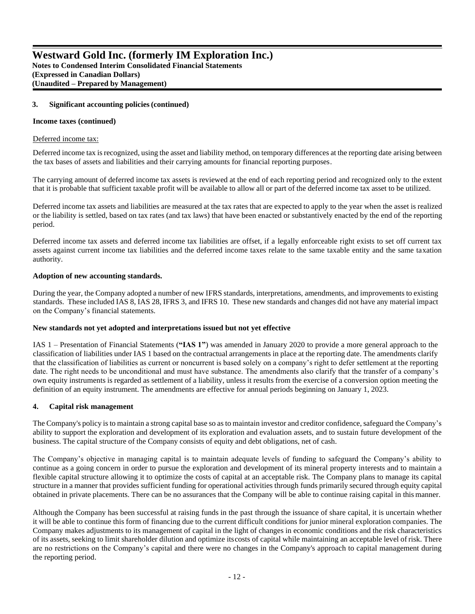### **3. Significant accounting policies(continued)**

#### **Income taxes (continued)**

#### Deferred income tax:

Deferred income tax is recognized, using the asset and liability method, on temporary differences at the reporting date arising between the tax bases of assets and liabilities and their carrying amounts for financial reporting purposes.

The carrying amount of deferred income tax assets is reviewed at the end of each reporting period and recognized only to the extent that it is probable that sufficient taxable profit will be available to allow all or part of the deferred income tax asset to be utilized.

Deferred income tax assets and liabilities are measured at the tax rates that are expected to apply to the year when the asset is realized or the liability is settled, based on tax rates (and tax laws) that have been enacted or substantively enacted by the end of the reporting period.

Deferred income tax assets and deferred income tax liabilities are offset, if a legally enforceable right exists to set off current tax assets against current income tax liabilities and the deferred income taxes relate to the same taxable entity and the same taxation authority.

#### **Adoption of new accounting standards.**

During the year, the Company adopted a number of new IFRS standards, interpretations, amendments, and improvements to existing standards. These included IAS 8, IAS 28, IFRS 3, and IFRS 10. These new standards and changes did not have any material impact on the Company's financial statements.

#### **New standards not yet adopted and interpretations issued but not yet effective**

IAS 1 – Presentation of Financial Statements (**"IAS 1"**) was amended in January 2020 to provide a more general approach to the classification of liabilities under IAS 1 based on the contractual arrangements in place at the reporting date. The amendments clarify that the classification of liabilities as current or noncurrent is based solely on a company's right to defer settlement at the reporting date. The right needs to be unconditional and must have substance. The amendments also clarify that the transfer of a company's own equity instruments is regarded as settlement of a liability, unless it results from the exercise of a conversion option meeting the definition of an equity instrument. The amendments are effective for annual periods beginning on January 1, 2023.

#### **4. Capital risk management**

The Company's policy is to maintain a strong capital base so as to maintain investor and creditor confidence, safeguard the Company's ability to support the exploration and development of its exploration and evaluation assets, and to sustain future development of the business. The capital structure of the Company consists of equity and debt obligations, net of cash.

The Company's objective in managing capital is to maintain adequate levels of funding to safeguard the Company's ability to continue as a going concern in order to pursue the exploration and development of its mineral property interests and to maintain a flexible capital structure allowing it to optimize the costs of capital at an acceptable risk. The Company plans to manage its capital structure in a manner that provides sufficient funding for operational activities through funds primarily secured through equity capital obtained in private placements. There can be no assurances that the Company will be able to continue raising capital in this manner.

Although the Company has been successful at raising funds in the past through the issuance of share capital, it is uncertain whether it will be able to continue this form of financing due to the current difficult conditions for junior mineral exploration companies. The Company makes adjustments to its management of capital in the light of changes in economic conditions and the risk characteristics of its assets, seeking to limit shareholder dilution and optimize itscosts of capital while maintaining an acceptable level of risk. There are no restrictions on the Company's capital and there were no changes in the Company's approach to capital management during the reporting period.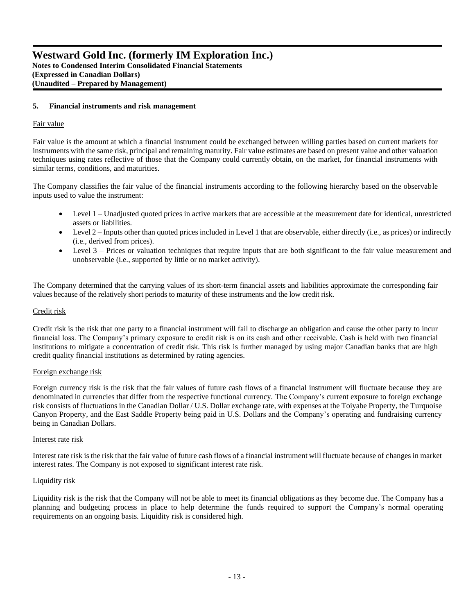#### **5. Financial instruments and risk management**

#### Fair value

Fair value is the amount at which a financial instrument could be exchanged between willing parties based on current markets for instruments with the same risk, principal and remaining maturity. Fair value estimates are based on present value and other valuation techniques using rates reflective of those that the Company could currently obtain, on the market, for financial instruments with similar terms, conditions, and maturities.

The Company classifies the fair value of the financial instruments according to the following hierarchy based on the observable inputs used to value the instrument:

- Level 1 Unadjusted quoted prices in active markets that are accessible at the measurement date for identical, unrestricted assets or liabilities.
- Level 2 Inputs other than quoted prices included in Level 1 that are observable, either directly (i.e., as prices) or indirectly (i.e., derived from prices).
- Level 3 Prices or valuation techniques that require inputs that are both significant to the fair value measurement and unobservable (i.e., supported by little or no market activity).

The Company determined that the carrying values of its short-term financial assets and liabilities approximate the corresponding fair values because of the relatively short periods to maturity of these instruments and the low credit risk.

#### Credit risk

Credit risk is the risk that one party to a financial instrument will fail to discharge an obligation and cause the other party to incur financial loss. The Company's primary exposure to credit risk is on its cash and other receivable. Cash is held with two financial institutions to mitigate a concentration of credit risk. This risk is further managed by using major Canadian banks that are high credit quality financial institutions as determined by rating agencies.

#### Foreign exchange risk

Foreign currency risk is the risk that the fair values of future cash flows of a financial instrument will fluctuate because they are denominated in currencies that differ from the respective functional currency. The Company's current exposure to foreign exchange risk consists of fluctuations in the Canadian Dollar / U.S. Dollar exchange rate, with expenses at the Toiyabe Property, the Turquoise Canyon Property, and the East Saddle Property being paid in U.S. Dollars and the Company's operating and fundraising currency being in Canadian Dollars.

#### Interest rate risk

Interest rate risk is the risk that the fair value of future cash flows of a financial instrument will fluctuate because of changes in market interest rates. The Company is not exposed to significant interest rate risk.

#### Liquidity risk

Liquidity risk is the risk that the Company will not be able to meet its financial obligations as they become due. The Company has a planning and budgeting process in place to help determine the funds required to support the Company's normal operating requirements on an ongoing basis. Liquidity risk is considered high.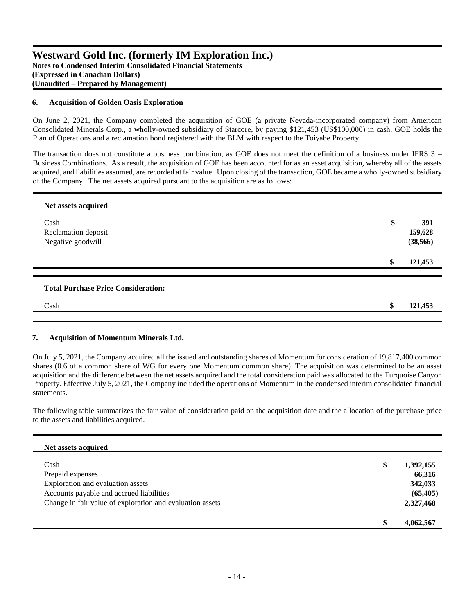# **Westward Gold Inc. (formerly IM Exploration Inc.) Notes to Condensed Interim Consolidated Financial Statements (Expressed in Canadian Dollars) (Unaudited – Prepared by Management)**

### **6. Acquisition of Golden Oasis Exploration**

On June 2, 2021, the Company completed the acquisition of GOE (a private Nevada-incorporated company) from American Consolidated Minerals Corp., a wholly-owned subsidiary of Starcore, by paying \$121,453 (US\$100,000) in cash. GOE holds the Plan of Operations and a reclamation bond registered with the BLM with respect to the Toiyabe Property.

The transaction does not constitute a business combination, as GOE does not meet the definition of a business under IFRS 3 – Business Combinations. As a result, the acquisition of GOE has been accounted for as an asset acquisition, whereby all of the assets acquired, and liabilities assumed, are recorded at fair value. Upon closing of the transaction, GOE became a wholly-owned subsidiary of the Company. The net assets acquired pursuant to the acquisition are as follows:

| Net assets acquired                        |               |
|--------------------------------------------|---------------|
| Cash                                       | \$<br>391     |
| Reclamation deposit                        | 159,628       |
| Negative goodwill                          | (38, 566)     |
|                                            | \$<br>121,453 |
| <b>Total Purchase Price Consideration:</b> |               |
| Cash                                       | \$<br>121,453 |

#### **7. Acquisition of Momentum Minerals Ltd.**

On July 5, 2021, the Company acquired all the issued and outstanding shares of Momentum for consideration of 19,817,400 common shares (0.6 of a common share of WG for every one Momentum common share). The acquisition was determined to be an asset acquisition and the difference between the net assets acquired and the total consideration paid was allocated to the Turquoise Canyon Property. Effective July 5, 2021, the Company included the operations of Momentum in the condensed interim consolidated financial statements.

The following table summarizes the fair value of consideration paid on the acquisition date and the allocation of the purchase price to the assets and liabilities acquired.

| Net assets acquired                                       |    |           |
|-----------------------------------------------------------|----|-----------|
| Cash                                                      | \$ | 1,392,155 |
| Prepaid expenses                                          |    | 66,316    |
| Exploration and evaluation assets                         |    | 342,033   |
| Accounts payable and accrued liabilities                  |    | (65, 405) |
| Change in fair value of exploration and evaluation assets |    | 2,327,468 |
|                                                           |    |           |
|                                                           | S  | 4,062,567 |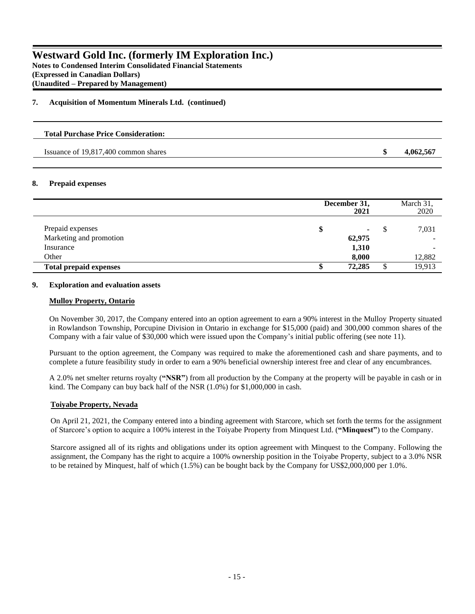**Notes to Condensed Interim Consolidated Financial Statements (Expressed in Canadian Dollars) (Unaudited – Prepared by Management)**

# **7. Acquisition of Momentum Minerals Ltd. (continued)**

# **Total Purchase Price Consideration:**

Issuance of 19,817,400 common shares **\$ 4,062,567**

# **8. Prepaid expenses**

|                                      | December 31,<br>2021 |    | March 31,<br>2020             |
|--------------------------------------|----------------------|----|-------------------------------|
| Prepaid expenses                     | \$                   | S  | 7,031                         |
| Marketing and promotion<br>Insurance | 62,975<br>1,310      |    | $\overline{\phantom{0}}$<br>- |
| Other                                | 8,000                |    | 12,882                        |
| <b>Total prepaid expenses</b>        | 72,285<br>\$         | \$ | 19,913                        |

### **9. Exploration and evaluation assets**

#### **Mulloy Property, Ontario**

On November 30, 2017, the Company entered into an option agreement to earn a 90% interest in the Mulloy Property situated in Rowlandson Township, Porcupine Division in Ontario in exchange for \$15,000 (paid) and 300,000 common shares of the Company with a fair value of \$30,000 which were issued upon the Company's initial public offering (see note 11).

Pursuant to the option agreement, the Company was required to make the aforementioned cash and share payments, and to complete a future feasibility study in order to earn a 90% beneficial ownership interest free and clear of any encumbrances.

A 2.0% net smelter returns royalty (**"NSR"**) from all production by the Company at the property will be payable in cash or in kind. The Company can buy back half of the NSR (1.0%) for \$1,000,000 in cash.

# **Toiyabe Property, Nevada**

On April 21, 2021, the Company entered into a binding agreement with Starcore, which set forth the terms for the assignment of Starcore's option to acquire a 100% interest in the Toiyabe Property from Minquest Ltd. (**"Minquest"**) to the Company.

Starcore assigned all of its rights and obligations under its option agreement with Minquest to the Company. Following the assignment, the Company has the right to acquire a 100% ownership position in the Toiyabe Property, subject to a 3.0% NSR to be retained by Minquest, half of which (1.5%) can be bought back by the Company for US\$2,000,000 per 1.0%.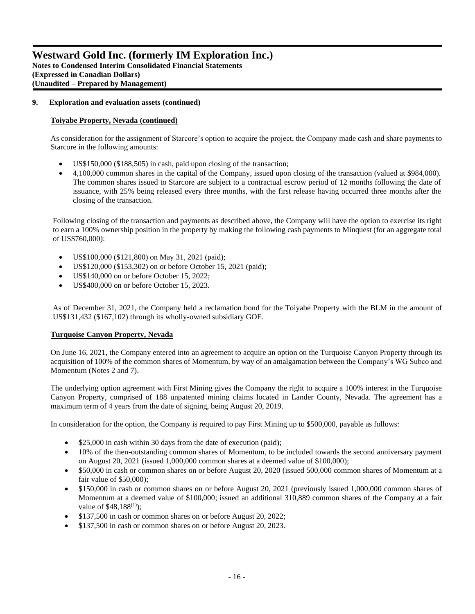# **Westward Gold Inc. (formerly IM Exploration Inc.) Notes to Condensed Interim Consolidated Financial Statements (Expressed in Canadian Dollars)**

**(Unaudited – Prepared by Management)**

### **9. Exploration and evaluation assets (continued)**

#### **Toiyabe Property, Nevada (continued)**

As consideration for the assignment of Starcore's option to acquire the project, the Company made cash and share payments to Starcore in the following amounts:

- US\$150,000 (\$188,505) in cash, paid upon closing of the transaction;
- 4,100,000 common shares in the capital of the Company, issued upon closing of the transaction (valued at \$984,000). The common shares issued to Starcore are subject to a contractual escrow period of 12 months following the date of issuance, with 25% being released every three months, with the first release having occurred three months after the closing of the transaction.

Following closing of the transaction and payments as described above, the Company will have the option to exercise its right to earn a 100% ownership position in the property by making the following cash payments to Minquest (for an aggregate total of US\$760,000):

- US\$100,000 (\$121,800) on May 31, 2021 (paid);
- US\$120,000 (\$153,302) on or before October 15, 2021 (paid);
- US\$140,000 on or before October 15, 2022;
- US\$400,000 on or before October 15, 2023.

As of December 31, 2021, the Company held a reclamation bond for the Toiyabe Property with the BLM in the amount of US\$131,432 (\$167,102) through its wholly-owned subsidiary GOE.

#### **Turquoise Canyon Property, Nevada**

On June 16, 2021, the Company entered into an agreement to acquire an option on the Turquoise Canyon Property through its acquisition of 100% of the common shares of Momentum, by way of an amalgamation between the Company's WG Subco and Momentum (Notes 2 and 7).

The underlying option agreement with First Mining gives the Company the right to acquire a 100% interest in the Turquoise Canyon Property, comprised of 188 unpatented mining claims located in Lander County, Nevada. The agreement has a maximum term of 4 years from the date of signing, being August 20, 2019.

In consideration for the option, the Company is required to pay First Mining up to \$500,000, payable as follows:

- \$25,000 in cash within 30 days from the date of execution (paid);
- 10% of the then-outstanding common shares of Momentum, to be included towards the second anniversary payment on August 20, 2021 (issued 1,000,000 common shares at a deemed value of \$100,000);
- \$50,000 in cash or common shares on or before August 20, 2020 (issued 500,000 common shares of Momentum at a fair value of \$50,000);
- \$150,000 in cash or common shares on or before August 20, 2021 (previously issued 1,000,000 common shares of Momentum at a deemed value of \$100,000; issued an additional 310,889 common shares of the Company at a fair value of  $$48,188^{(1)}$ ;
- \$137,500 in cash or common shares on or before August 20, 2022;
- \$137,500 in cash or common shares on or before August 20, 2023.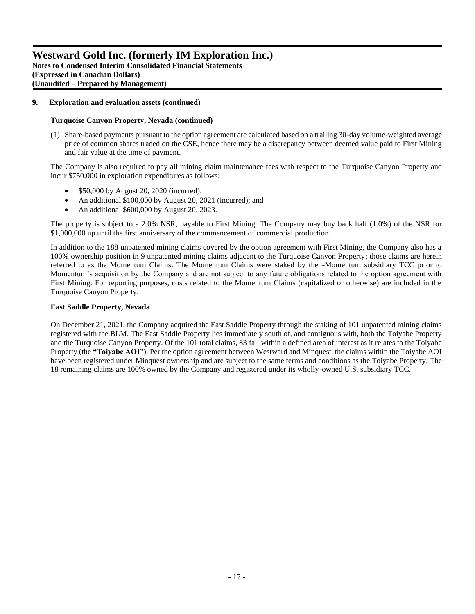# **Westward Gold Inc. (formerly IM Exploration Inc.) Notes to Condensed Interim Consolidated Financial Statements (Expressed in Canadian Dollars)**

**(Unaudited – Prepared by Management)**

# **9. Exploration and evaluation assets (continued)**

# **Turquoise Canyon Property, Nevada (continued)**

(1) Share-based payments pursuant to the option agreement are calculated based on a trailing 30-day volume-weighted average price of common shares traded on the CSE, hence there may be a discrepancy between deemed value paid to First Mining and fair value at the time of payment.

The Company is also required to pay all mining claim maintenance fees with respect to the Turquoise Canyon Property and incur \$750,000 in exploration expenditures as follows:

- \$50,000 by August 20, 2020 (incurred);
- An additional \$100,000 by August 20, 2021 (incurred); and
- An additional \$600,000 by August 20, 2023.

The property is subject to a 2.0% NSR, payable to First Mining. The Company may buy back half (1.0%) of the NSR for \$1,000,000 up until the first anniversary of the commencement of commercial production.

In addition to the 188 unpatented mining claims covered by the option agreement with First Mining, the Company also has a 100% ownership position in 9 unpatented mining claims adjacent to the Turquoise Canyon Property; those claims are herein referred to as the Momentum Claims. The Momentum Claims were staked by then-Momentum subsidiary TCC prior to Momentum's acquisition by the Company and are not subject to any future obligations related to the option agreement with First Mining. For reporting purposes, costs related to the Momentum Claims (capitalized or otherwise) are included in the Turquoise Canyon Property.

### **East Saddle Property, Nevada**

On December 21, 2021, the Company acquired the East Saddle Property through the staking of 101 unpatented mining claims registered with the BLM. The East Saddle Property lies immediately south of, and contiguous with, both the Toiyabe Property and the Turquoise Canyon Property. Of the 101 total claims, 83 fall within a defined area of interest as it relates to the Toiyabe Property (the **"Toiyabe AOI"**). Per the option agreement between Westward and Minquest, the claims within the Toiyabe AOI have been registered under Minquest ownership and are subject to the same terms and conditions as the Toiyabe Property. The 18 remaining claims are 100% owned by the Company and registered under its wholly-owned U.S. subsidiary TCC.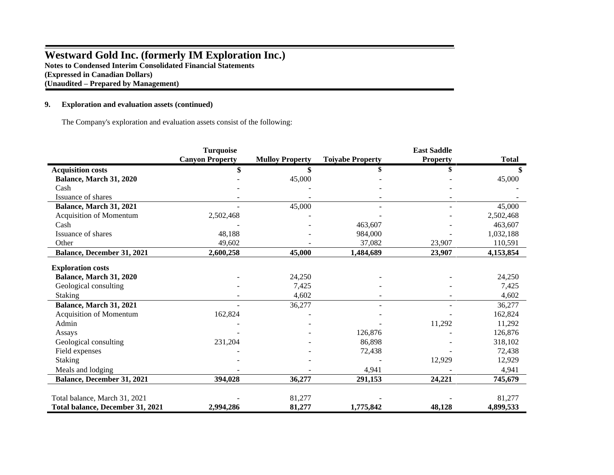# **Westward Gold Inc. (formerly IM Exploration Inc.) Notes to Condensed Interim Consolidated Financial Statements (Expressed in Canadian Dollars) (Unaudited – Prepared by Management)**

### **9. Exploration and evaluation assets (continued)**

The Company's exploration and evaluation assets consist of the following:

|                                  | <b>Turquoise</b>       |                        |                         | <b>East Saddle</b> |              |
|----------------------------------|------------------------|------------------------|-------------------------|--------------------|--------------|
|                                  | <b>Canyon Property</b> | <b>Mulloy Property</b> | <b>Toiyabe Property</b> | <b>Property</b>    | <b>Total</b> |
| <b>Acquisition costs</b>         |                        | \$                     |                         | \$                 |              |
| Balance, March 31, 2020          |                        | 45,000                 |                         |                    | 45,000       |
| Cash                             |                        |                        |                         |                    |              |
| Issuance of shares               |                        |                        |                         |                    |              |
| Balance, March 31, 2021          |                        | 45,000                 |                         |                    | 45,000       |
| Acquisition of Momentum          | 2,502,468              |                        |                         |                    | 2,502,468    |
| Cash                             |                        |                        | 463,607                 |                    | 463,607      |
| Issuance of shares               | 48,188                 |                        | 984,000                 |                    | 1,032,188    |
| Other                            | 49,602                 |                        | 37,082                  | 23,907             | 110,591      |
| Balance, December 31, 2021       | 2,600,258              | 45,000                 | 1,484,689               | 23,907             | 4,153,854    |
|                                  |                        |                        |                         |                    |              |
| <b>Exploration costs</b>         |                        |                        |                         |                    |              |
| Balance, March 31, 2020          |                        | 24,250                 |                         |                    | 24,250       |
| Geological consulting            |                        | 7,425                  |                         |                    | 7,425        |
| <b>Staking</b>                   |                        | 4,602                  |                         |                    | 4,602        |
| Balance, March 31, 2021          |                        | 36,277                 |                         |                    | 36,277       |
| Acquisition of Momentum          | 162,824                |                        |                         |                    | 162,824      |
| Admin                            |                        |                        |                         | 11,292             | 11,292       |
| Assays                           |                        |                        | 126,876                 |                    | 126,876      |
| Geological consulting            | 231,204                |                        | 86,898                  |                    | 318,102      |
| Field expenses                   |                        |                        | 72,438                  |                    | 72,438       |
| <b>Staking</b>                   |                        |                        |                         | 12,929             | 12,929       |
| Meals and lodging                |                        |                        | 4,941                   |                    | 4,941        |
| Balance, December 31, 2021       | 394,028                | 36,277                 | 291,153                 | 24,221             | 745,679      |
| Total balance, March 31, 2021    |                        | 81,277                 |                         |                    | 81,277       |
| Total balance, December 31, 2021 | 2,994,286              | 81,277                 | 1,775,842               | 48,128             | 4,899,533    |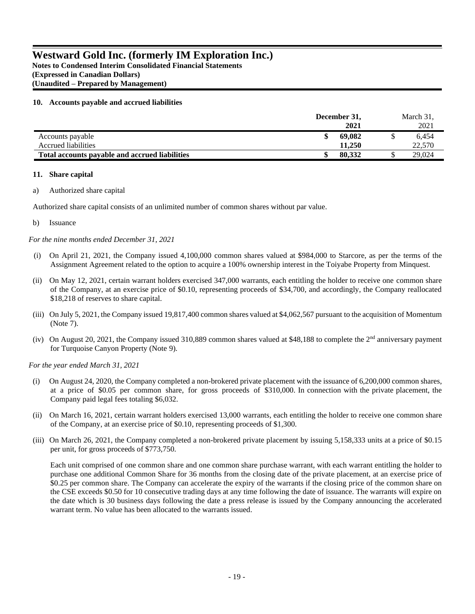**Notes to Condensed Interim Consolidated Financial Statements (Expressed in Canadian Dollars) (Unaudited – Prepared by Management)**

# **10. Accounts payable and accrued liabilities**

|                                                | December 31, | March 31, |
|------------------------------------------------|--------------|-----------|
|                                                | 2021         | 2021      |
| Accounts payable                               | 69,082       | 6.454     |
| <b>Accrued liabilities</b>                     | 11.250       | 22,570    |
| Total accounts payable and accrued liabilities | 80,332       | 29,024    |

# **11. Share capital**

# a) Authorized share capital

Authorized share capital consists of an unlimited number of common shares without par value.

# b) Issuance

*For the nine months ended December 31, 2021* 

- (i) On April 21, 2021, the Company issued 4,100,000 common shares valued at \$984,000 to Starcore, as per the terms of the Assignment Agreement related to the option to acquire a 100% ownership interest in the Toiyabe Property from Minquest.
- (ii) On May 12, 2021, certain warrant holders exercised 347,000 warrants, each entitling the holder to receive one common share of the Company, at an exercise price of \$0.10, representing proceeds of \$34,700, and accordingly, the Company reallocated \$18,218 of reserves to share capital.
- (iii) On July 5, 2021, the Company issued 19,817,400 common shares valued at \$4,062,567 pursuant to the acquisition of Momentum (Note 7).
- (iv) On August 20, 2021, the Company issued 310,889 common shares valued at \$48,188 to complete the  $2<sup>nd</sup>$  anniversary payment for Turquoise Canyon Property (Note 9).

*For the year ended March 31, 2021* 

- (i) On August 24, 2020, the Company completed a non-brokered private placement with the issuance of 6,200,000 common shares, at a price of \$0.05 per common share, for gross proceeds of \$310,000. In connection with the private placement, the Company paid legal fees totaling \$6,032.
- (ii) On March 16, 2021, certain warrant holders exercised 13,000 warrants, each entitling the holder to receive one common share of the Company, at an exercise price of \$0.10, representing proceeds of \$1,300.
- (iii) On March 26, 2021, the Company completed a non-brokered private placement by issuing 5,158,333 units at a price of \$0.15 per unit, for gross proceeds of \$773,750.

Each unit comprised of one common share and one common share purchase warrant, with each warrant entitling the holder to purchase one additional Common Share for 36 months from the closing date of the private placement, at an exercise price of \$0.25 per common share. The Company can accelerate the expiry of the warrants if the closing price of the common share on the CSE exceeds \$0.50 for 10 consecutive trading days at any time following the date of issuance. The warrants will expire on the date which is 30 business days following the date a press release is issued by the Company announcing the accelerated warrant term. No value has been allocated to the warrants issued.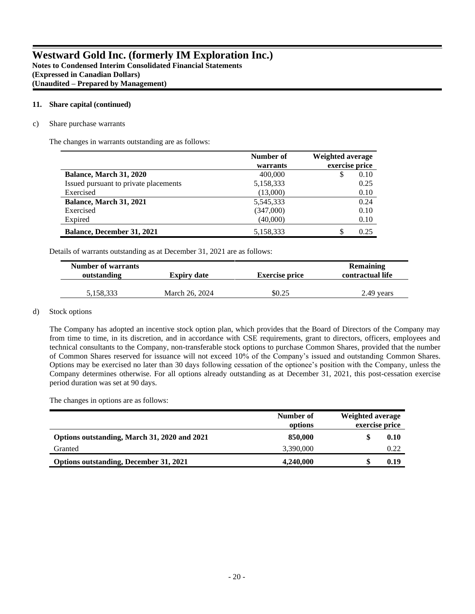**(Unaudited – Prepared by Management)**

#### **11. Share capital (continued)**

c) Share purchase warrants

The changes in warrants outstanding are as follows:

|                                       | Number of | <b>Weighted average</b> |  |  |
|---------------------------------------|-----------|-------------------------|--|--|
|                                       | warrants  | exercise price          |  |  |
| Balance, March 31, 2020               | 400,000   | 0.10<br>S               |  |  |
| Issued pursuant to private placements | 5,158,333 | 0.25                    |  |  |
| Exercised                             | (13,000)  | 0.10                    |  |  |
| <b>Balance, March 31, 2021</b>        | 5,545,333 | 0.24                    |  |  |
| Exercised                             | (347,000) | 0.10                    |  |  |
| Expired                               | (40,000)  | 0.10                    |  |  |
| <b>Balance, December 31, 2021</b>     | 5,158,333 | 0.25                    |  |  |

Details of warrants outstanding as at December 31, 2021 are as follows:

| <b>Number of warrants</b><br>outstanding | <b>Expiry date</b> | <b>Exercise price</b> | <b>Remaining</b><br>contractual life |  |
|------------------------------------------|--------------------|-----------------------|--------------------------------------|--|
| 5.158.333                                | March 26, 2024     | \$0.25                | 2.49 years                           |  |

# d) Stock options

The Company has adopted an incentive stock option plan, which provides that the Board of Directors of the Company may from time to time, in its discretion, and in accordance with CSE requirements, grant to directors, officers, employees and technical consultants to the Company, non-transferable stock options to purchase Common Shares, provided that the number of Common Shares reserved for issuance will not exceed 10% of the Company's issued and outstanding Common Shares. Options may be exercised no later than 30 days following cessation of the optionee's position with the Company, unless the Company determines otherwise. For all options already outstanding as at December 31, 2021, this post-cessation exercise period duration was set at 90 days.

The changes in options are as follows:

|                                               | Number of<br>options | Weighted average<br>exercise price |
|-----------------------------------------------|----------------------|------------------------------------|
| Options outstanding, March 31, 2020 and 2021  | 850,000              | 0.10                               |
| Granted                                       | 3.390,000            | 0.22                               |
| <b>Options outstanding, December 31, 2021</b> | 4,240,000            | 0.19                               |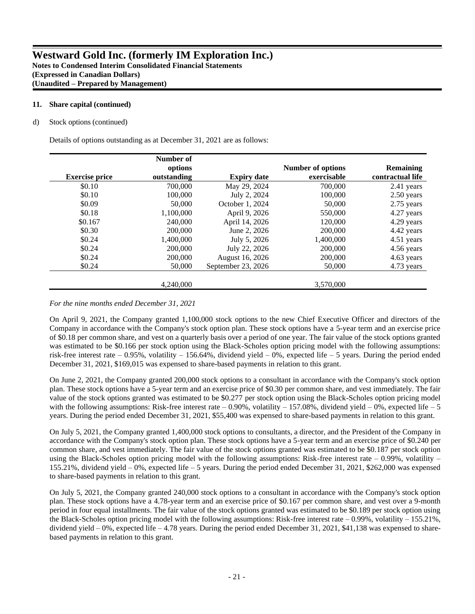### **11. Share capital (continued)**

#### d) Stock options (continued)

Details of options outstanding as at December 31, 2021 are as follows:

|                       | Number of<br>options |                    | <b>Number of options</b> | <b>Remaining</b> |
|-----------------------|----------------------|--------------------|--------------------------|------------------|
| <b>Exercise price</b> | outstanding          | <b>Expiry date</b> | exercisable              | contractual life |
| \$0.10                | 700,000              | May 29, 2024       | 700,000                  | 2.41 years       |
| \$0.10                | 100,000              | July 2, 2024       | 100,000                  | 2.50 years       |
| \$0.09                | 50,000               | October 1, 2024    | 50,000                   | 2.75 years       |
| \$0.18                | 1,100,000            | April 9, 2026      | 550,000                  | 4.27 years       |
| \$0.167               | 240,000              | April 14, 2026     | 120,000                  | 4.29 years       |
| \$0.30                | 200,000              | June 2, 2026       | 200,000                  | 4.42 years       |
| \$0.24                | 1,400,000            | July 5, 2026       | 1,400,000                | 4.51 years       |
| \$0.24                | 200,000              | July 22, 2026      | 200,000                  | 4.56 years       |
| \$0.24                | 200,000              | August 16, 2026    | 200,000                  | 4.63 years       |
| \$0.24                | 50,000               | September 23, 2026 | 50,000                   | 4.73 years       |
|                       | 4.240.000            |                    | 3,570,000                |                  |

#### *For the nine months ended December 31, 2021*

On April 9, 2021, the Company granted 1,100,000 stock options to the new Chief Executive Officer and directors of the Company in accordance with the Company's stock option plan. These stock options have a 5-year term and an exercise price of \$0.18 per common share, and vest on a quarterly basis over a period of one year. The fair value of the stock options granted was estimated to be \$0.166 per stock option using the Black-Scholes option pricing model with the following assumptions: risk-free interest rate – 0.95%, volatility – 156.64%, dividend yield – 0%, expected life – 5 years. During the period ended December 31, 2021, \$169,015 was expensed to share-based payments in relation to this grant.

On June 2, 2021, the Company granted 200,000 stock options to a consultant in accordance with the Company's stock option plan. These stock options have a 5-year term and an exercise price of \$0.30 per common share, and vest immediately. The fair value of the stock options granted was estimated to be \$0.277 per stock option using the Black-Scholes option pricing model with the following assumptions: Risk-free interest rate  $-0.90\%$ , volatility  $-157.08\%$ , dividend yield  $-0\%$ , expected life  $-5$ years. During the period ended December 31, 2021, \$55,400 was expensed to share-based payments in relation to this grant.

On July 5, 2021, the Company granted 1,400,000 stock options to consultants, a director, and the President of the Company in accordance with the Company's stock option plan. These stock options have a 5-year term and an exercise price of \$0.240 per common share, and vest immediately. The fair value of the stock options granted was estimated to be \$0.187 per stock option using the Black-Scholes option pricing model with the following assumptions: Risk-free interest rate  $-0.99\%$ , volatility  $-$ 155.21%, dividend yield – 0%, expected life – 5 years. During the period ended December 31, 2021, \$262,000 was expensed to share-based payments in relation to this grant.

On July 5, 2021, the Company granted 240,000 stock options to a consultant in accordance with the Company's stock option plan. These stock options have a 4.78-year term and an exercise price of \$0.167 per common share, and vest over a 9-month period in four equal installments. The fair value of the stock options granted was estimated to be \$0.189 per stock option using the Black-Scholes option pricing model with the following assumptions: Risk-free interest rate  $-0.99\%$ , volatility  $-155.21\%$ , dividend yield  $-0\%$ , expected life  $-4.78$  years. During the period ended December 31, 2021, \$41,138 was expensed to sharebased payments in relation to this grant.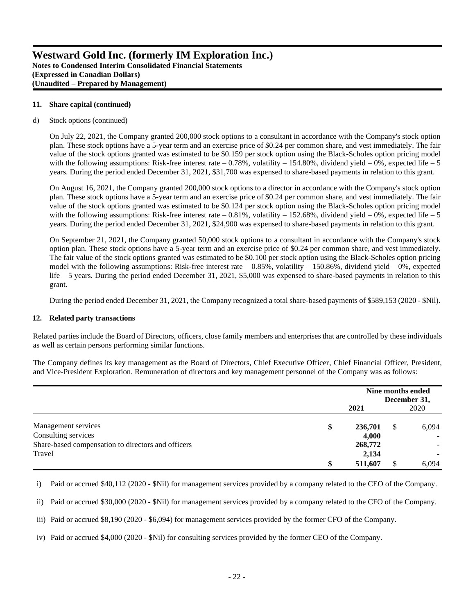#### **11. Share capital (continued)**

#### d) Stock options (continued)

On July 22, 2021, the Company granted 200,000 stock options to a consultant in accordance with the Company's stock option plan. These stock options have a 5-year term and an exercise price of \$0.24 per common share, and vest immediately. The fair value of the stock options granted was estimated to be \$0.159 per stock option using the Black-Scholes option pricing model with the following assumptions: Risk-free interest rate  $-0.78\%$ , volatility  $-154.80\%$ , dividend yield  $-0\%$ , expected life  $-5$ years. During the period ended December 31, 2021, \$31,700 was expensed to share-based payments in relation to this grant.

On August 16, 2021, the Company granted 200,000 stock options to a director in accordance with the Company's stock option plan. These stock options have a 5-year term and an exercise price of \$0.24 per common share, and vest immediately. The fair value of the stock options granted was estimated to be \$0.124 per stock option using the Black-Scholes option pricing model with the following assumptions: Risk-free interest rate  $-0.81\%$ , volatility  $-152.68\%$ , dividend yield  $-0\%$ , expected life  $-5$ years. During the period ended December 31, 2021, \$24,900 was expensed to share-based payments in relation to this grant.

On September 21, 2021, the Company granted 50,000 stock options to a consultant in accordance with the Company's stock option plan. These stock options have a 5-year term and an exercise price of \$0.24 per common share, and vest immediately. The fair value of the stock options granted was estimated to be \$0.100 per stock option using the Black-Scholes option pricing model with the following assumptions: Risk-free interest rate  $-0.85%$ , volatility  $-150.86%$ , dividend yield  $-0%$ , expected life – 5 years. During the period ended December 31, 2021, \$5,000 was expensed to share-based payments in relation to this grant.

During the period ended December 31, 2021, the Company recognized a total share-based payments of \$589,153 (2020 - \$Nil).

#### **12. Related party transactions**

Related parties include the Board of Directors, officers, close family members and enterprises that are controlled by these individuals as well as certain persons performing similar functions.

The Company defines its key management as the Board of Directors, Chief Executive Officer, Chief Financial Officer, President, and Vice-President Exploration. Remuneration of directors and key management personnel of the Company was as follows:

|                                                    | Nine months ended<br>December 31, |      |       |
|----------------------------------------------------|-----------------------------------|------|-------|
|                                                    | 2021                              | 2020 |       |
| Management services                                | \$<br>236,701                     | \$   | 6,094 |
| Consulting services                                | 4,000                             |      |       |
| Share-based compensation to directors and officers | 268,772                           |      |       |
| Travel                                             | 2,134                             |      |       |
|                                                    | 511,607                           |      | 6.094 |

i) Paid or accrued \$40,112 (2020 - \$Nil) for management services provided by a company related to the CEO of the Company.

ii) Paid or accrued \$30,000 (2020 - \$Nil) for management services provided by a company related to the CFO of the Company.

iii) Paid or accrued \$8,190 (2020 - \$6,094) for management services provided by the former CFO of the Company.

iv) Paid or accrued \$4,000 (2020 - \$Nil) for consulting services provided by the former CEO of the Company.